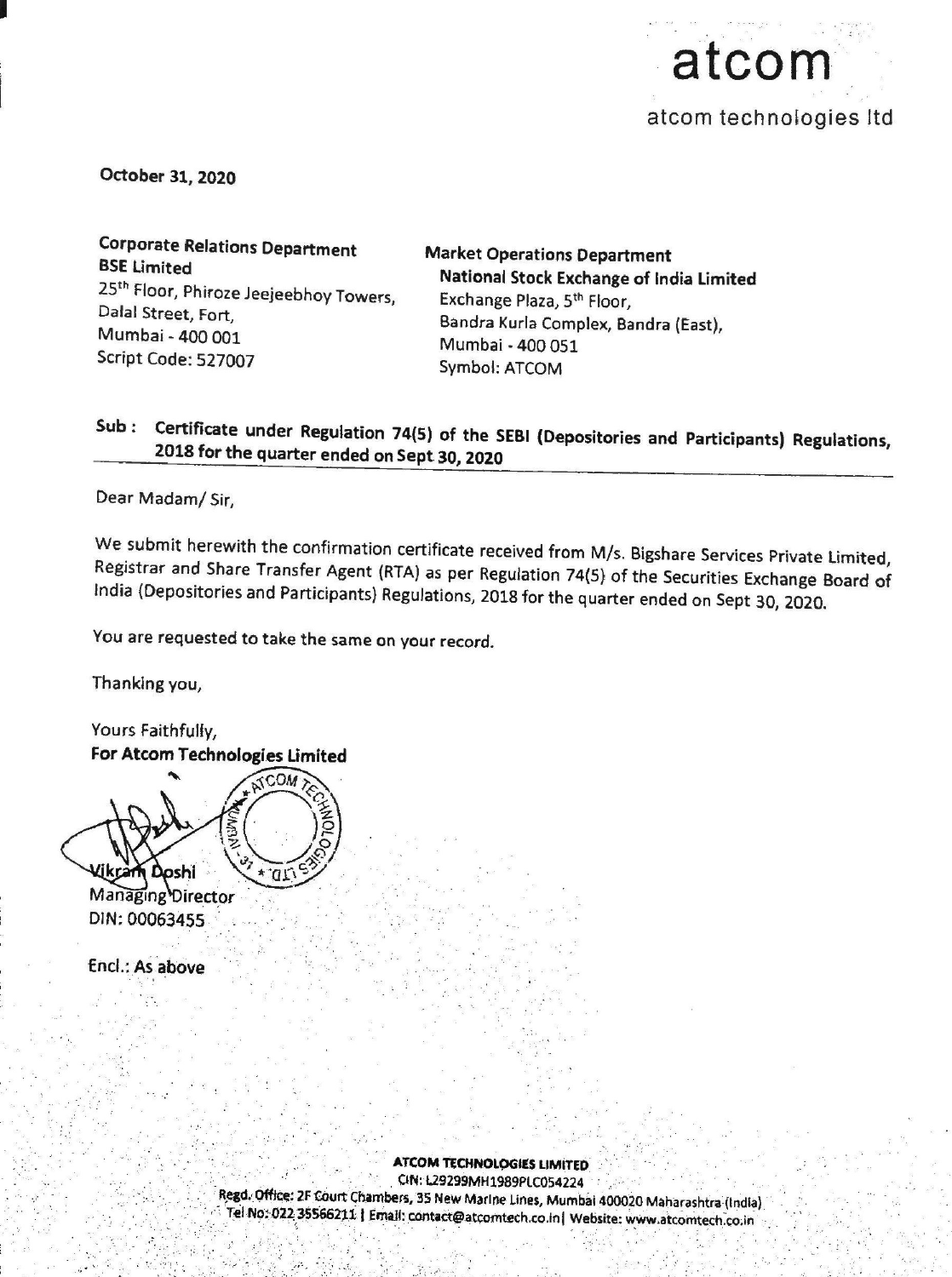

October 31, 2020

Corporate Relations Department<br>
BSE Limited<br>
25<sup>th</sup> Floor, Phiroze Jeejeebhoy Towers,<br>
Dalal Street, Fort,<br>
Mumbai - 400 001<br>
Script Code: 527007<br>
Symbol: ATCOM<br>
ATCOM<br>
Symbol: ATCOM

## Sub: Certificate under Regulation 74(5) of the SEBI (Depositories and Participants) Regulations, 2018 for the quarter ended on Sept 30, <sup>2020</sup>

Dear Madam/ Sir,

We submit herewith the confirmation certificate received from M/s. Bigshare Services Private Limited, Registrar and Share Transfer Agent (RTA) as per Regulation 74(5) of the Securities Exchange Board of India (Depositories

You are requested to take the same on your record.

Thanking you,

Yours Faithfully, For Atcom Technologies Limited m Doshi 'QT

Managing Director DIN: 00063455...

Encl.: As above

ATCOM TECHNOLOGIES LIMITED<br>Regd. Office: 2F Court Chambers, 35 New Marine Lines, Mumbai 400020 Maharashtra (India)<br>Tel No: 022 35566211 | Email: contact@atcomtech.co.in| Website: www.atcomtech.co.in